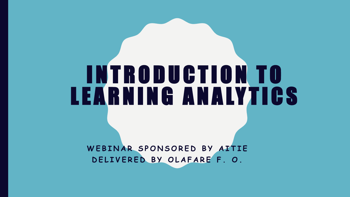# I N T R O D U C T I O N T O LEARNING ANALYTICS

WEBINAR SPONSORED BY AITIE D E L I V E R E D B Y O L A F A R E F . O .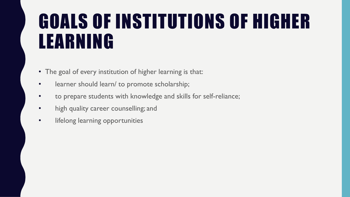#### GOALS OF INSTITUTIONS OF HIGHER LEARNING

- The goal of every institution of higher learning is that:
- learner should learn/ to promote scholarship;
- to prepare students with knowledge and skills for self-reliance;
- high quality career counselling; and
- lifelong learning opportunities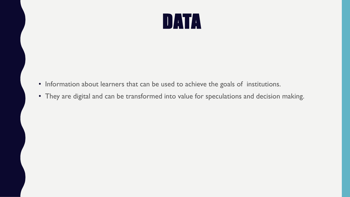

- Information about learners that can be used to achieve the goals of institutions.
- They are digital and can be transformed into value for speculations and decision making.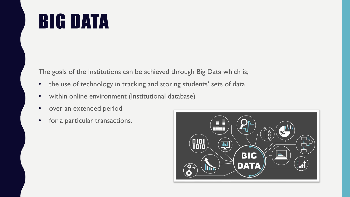#### BIG DATA

The goals of the Institutions can be achieved through Big Data which is;

- the use of technology in tracking and storing students' sets of data
- within online environment (Institutional database)
- over an extended period
- for a particular transactions.

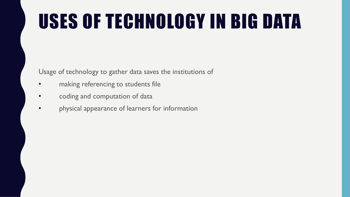# USES OF TECHNOLOGY IN BIG DATA

Usage of technology to gather data saves the institutions of

- making referencing to students file
- coding and computation of data
- physical appearance of learners for information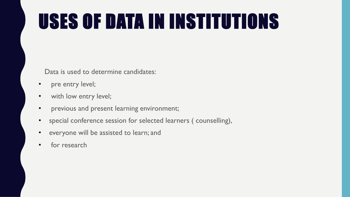# USES OF DATA IN INSTITUTIONS

Data is used to determine candidates:

- pre entry level;
- with low entry level;
- previous and present learning environment;
- special conference session for selected learners ( counselling),
- everyone will be assisted to learn; and
- for research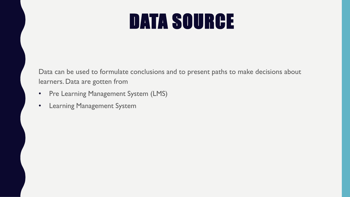#### DATA SOURCE

Data can be used to formulate conclusions and to present paths to make decisions about learners. Data are gotten from

- Pre Learning Management System (LMS)
- Learning Management System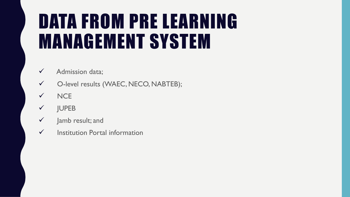### DATA FROM PRE LEARNING MANAGEMENT SYSTEM

- ✓ Admission data;
- ✓ O-level results (WAEC, NECO, NABTEB);
- ✓ NCE
- ✓ JUPEB
- $\checkmark$  Jamb result; and
- $\checkmark$  Institution Portal information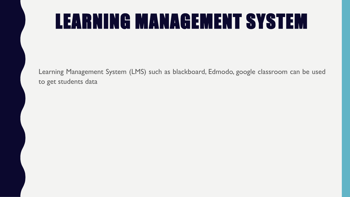### LEARNING MANAGEMENT SYSTEM

Learning Management System (LMS) such as blackboard, Edmodo, google classroom can be used to get students data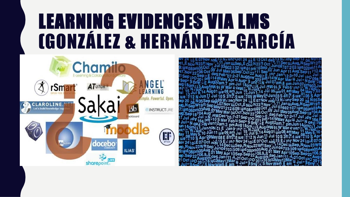#### LEARNING EVIDENCES VIA LMS (GONZÁLEZ & HERNÁNDEZ-GARCÍA



et W Mar 4 Kemi<br>| we08 am Jun 609:<br>609:ພe08pm05Oct of<br>4Oct.Nov22°06Oct d<br>7°21Sep : 0.069P:°E Sep<sub>190</sub>Se am Jul 15 Jul<br>t%.8 we ! ? 12 :Sep.N Nov23\<br>}09:ພູd 08pm0<br>}Sep.Sep22 ໃດ<br>}-21 Oct 10O 20<br>r 11 Jule 10O 20 2Mar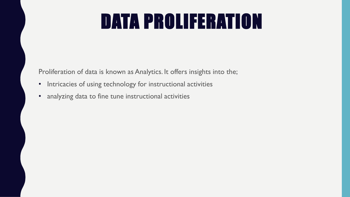## DATA PROLIFERATION

Proliferation of data is known as Analytics. It offers insights into the;

- Intricacies of using technology for instructional activities
- analyzing data to fine tune instructional activities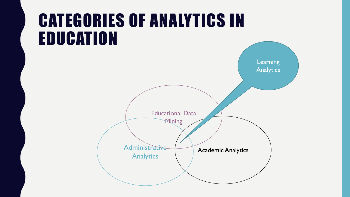#### CATEGORIES OF ANALYTICS IN EDUCATION

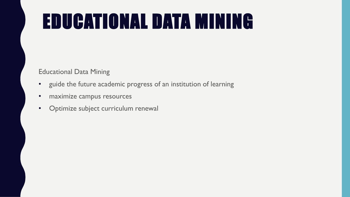# EDUCATIONAL DATA MINING

Educational Data Mining

- guide the future academic progress of an institution of learning
- maximize campus resources
- Optimize subject curriculum renewal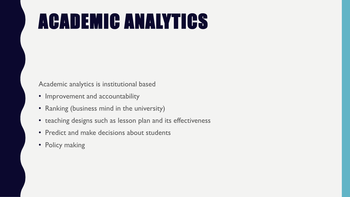# ACADEMIC ANALYTICS

Academic analytics is institutional based

- Improvement and accountability
- Ranking (business mind in the university)
- teaching designs such as lesson plan and its effectiveness
- Predict and make decisions about students
- Policy making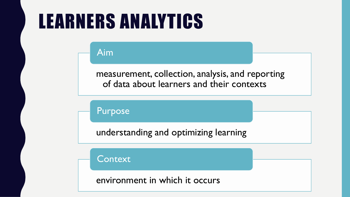#### LEARNERS ANALYTICS

Aim

measurement, collection, analysis, and reporting of data about learners and their contexts

Purpose

understanding and optimizing learning

**Context** 

environment in which it occurs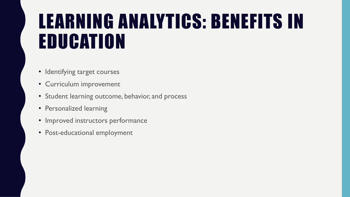#### LEARNING ANALYTICS: BENEFITS IN EDUCATION

- Identifying target courses
- Curriculum improvement
- Student learning outcome, behavior, and process
- Personalized learning
- Improved instructors performance
- Post-educational employment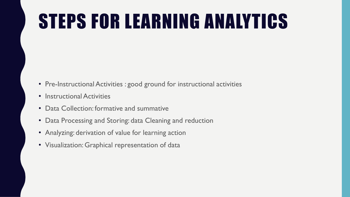## STEPS FOR LEARNING ANALYTICS

- Pre-Instructional Activities : good ground for instructional activities
- Instructional Activities
- Data Collection: formative and summative
- Data Processing and Storing: data Cleaning and reduction
- Analyzing: derivation of value for learning action
- Visualization: Graphical representation of data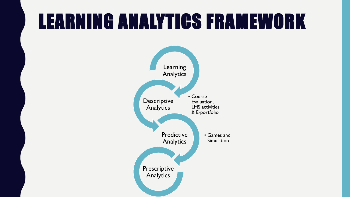#### LEARNING ANALYTICS FRAMEWORK

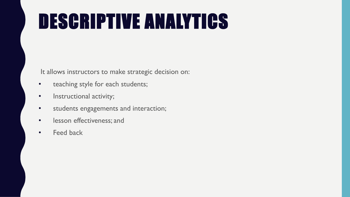# DESCRIPTIVE ANALYTICS

It allows instructors to make strategic decision on:

- teaching style for each students;
- Instructional activity;
- students engagements and interaction;
- lesson effectiveness; and
- Feed back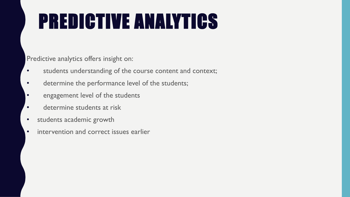# PREDICTIVE ANALYTICS

Predictive analytics offers insight on:

- students understanding of the course content and context;
- determine the performance level of the students;
- engagement level of the students
- determine students at risk
- students academic growth
- intervention and correct issues earlier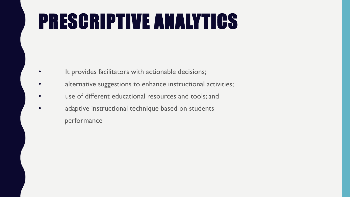# PRESCRIPTIVE ANALYTICS

- It provides facilitators with actionable decisions;
- alternative suggestions to enhance instructional activities;
- use of different educational resources and tools; and
- adaptive instructional technique based on students performance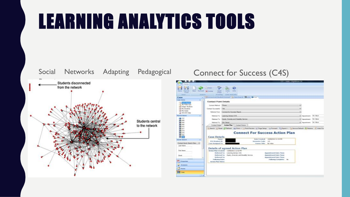## LEARNING ANALYTICS TOOLS

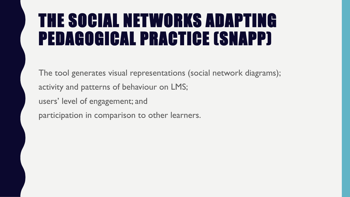#### THE SOCIAL NETWORKS ADAPTING PEDAGOGICAL PRACTICE (SNAPP)

The tool generates visual representations (social network diagrams); activity and patterns of behaviour on LMS; users' level of engagement; and participation in comparison to other learners.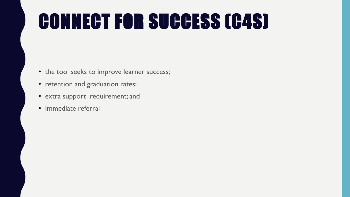# CONNECT FOR SUCCESS (C4S)

- the tool seeks to improve learner success;
- retention and graduation rates;
- extra support requirement; and
- Immediate referral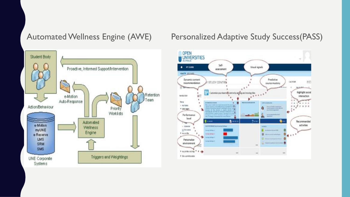

#### Automated Wellness Engine (AWE) Personalized Adaptive Study Success(PASS)

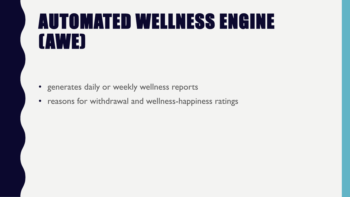#### AUTOMATED WELLNESS ENGINE (AWE)

- generates daily or weekly wellness reports
- reasons for withdrawal and wellness-happiness ratings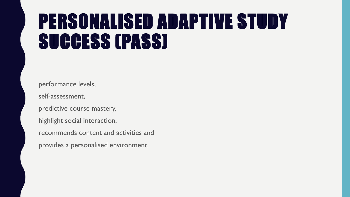#### PERSONALISED ADAPTIVE STUDY SUCCESS (PASS)

performance levels, self-assessment, predictive course mastery, highlight social interaction, recommends content and activities and

provides a personalised environment.